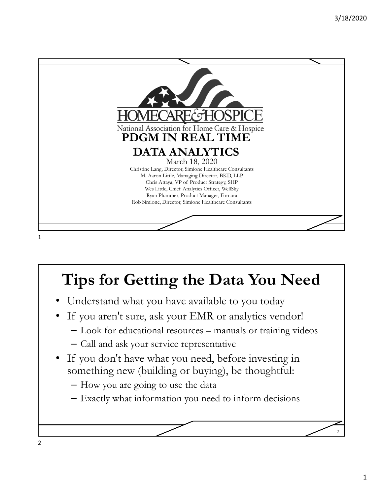

# **Tips for Getting the Data You Need**

- Understand what you have available to you today
- If you aren't sure, ask your EMR or analytics vendor!
	- Look for educational resources manuals or training videos
	- Call and ask your service representative
- If you don't have what you need, before investing in something new (building or buying), be thoughtful:
	- How you are going to use the data
	- Exactly what information you need to inform decisions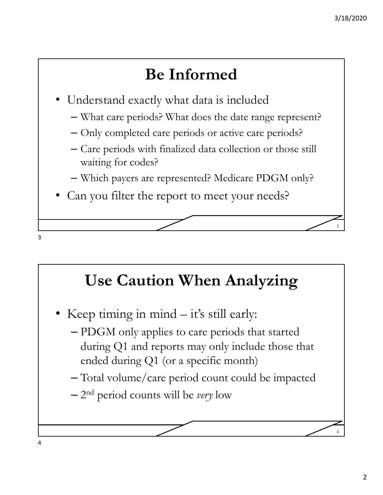## **Be Informed**

- Understand exactly what data is included
	- What care periods? What does the date range represent?
	- Only completed care periods or active care periods?
	- Care periods with finalized data collection or those still waiting for codes?
	- Which payers are represented? Medicare PDGM only?
- Can you filter the report to meet your needs?

#### **Use Caution When Analyzing**

- Keep timing in mind it's still early:
	- PDGM only applies to care periods that started during Q1 and reports may only include those that ended during Q1 (or a specific month)
	- Total volume/care period count could be impacted
	- 2nd period counts will be *very* low

3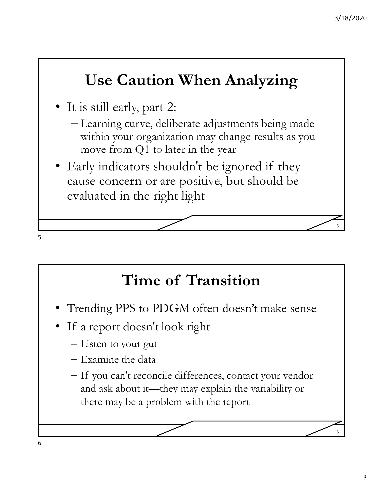## **Use Caution When Analyzing**

- It is still early, part 2:
	- Learning curve, deliberate adjustments being made within your organization may change results as you move from Q1 to later in the year
- Early indicators shouldn't be ignored if they cause concern or are positive, but should be evaluated in the right light

## **Time of Transition**

- Trending PPS to PDGM often doesn't make sense
- If a report doesn't look right
	- Listen to your gut
	- Examine the data
	- If you can't reconcile differences, contact your vendor and ask about it—they may explain the variability or there may be a problem with the report

5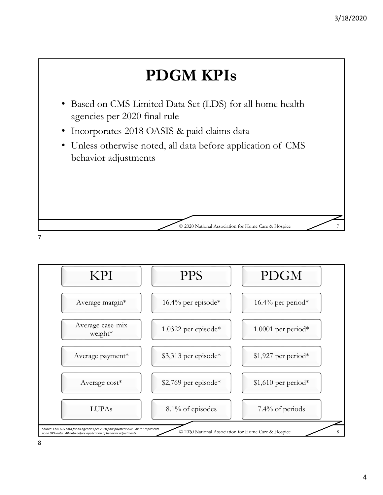

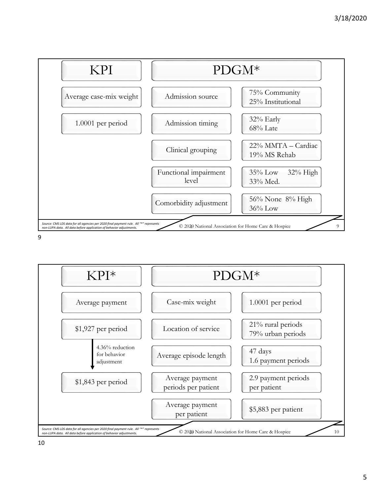



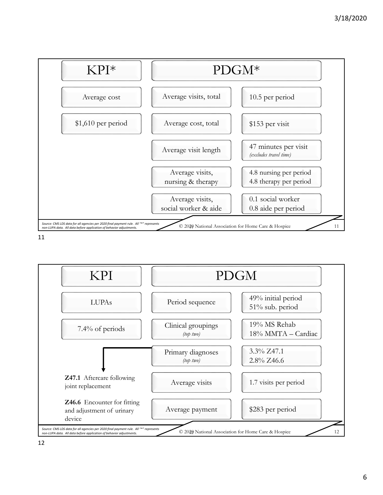



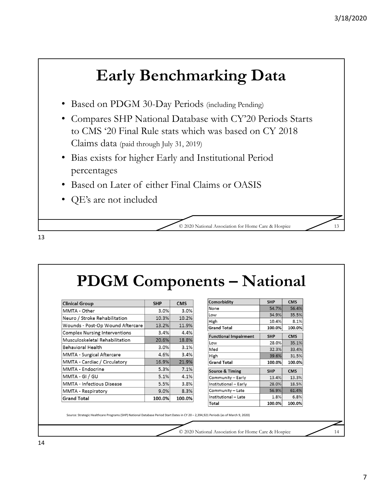## **Early Benchmarking Data**

- Based on PDGM 30-Day Periods (including Pending)
- Compares SHP National Database with CY'20 Periods Starts to CMS '20 Final Rule stats which was based on CY 2018 Claims data (paid through July 31, 2019)
- Bias exists for higher Early and Institutional Period percentages
- Based on Later of either Final Claims or OASIS
- QE's are not included

© 2020 National Association for Home Care & Hospice 13

**PDGM Components – National**

| <b>Clinical Group</b>                | <b>SHP</b> | <b>CMS</b> |
|--------------------------------------|------------|------------|
| MMTA - Other                         | 3.0%       | 3.0%       |
| Neuro / Stroke Rehabilitation        | 10.3%      | 10.2%      |
| Wounds - Post-Op Wound Aftercare     | 13.2%      | 11.9%      |
| <b>Complex Nursing Interventions</b> | 3.4%       | 4.4%       |
| Musculoskeletal Rehabilitation       | 20.6%      | 18.8%      |
| Behavioral Health                    | 3.0%       | 3.1%       |
| <b>MMTA - Surgical Aftercare</b>     | 4.6%       | 3.4%       |
| MMTA - Cardiac / Circulatory         | 16.9%      | 21.9%      |
| MMTA - Endocrine                     | 5.3%       | 7.1%       |
| MMTA - GI / GU                       | 5.1%       | 4.1%       |
| <b>MMTA - Infectious Disease</b>     | 5.5%       | 3.8%       |
| MMTA - Respiratory                   | 9.0%       | 8.3%       |
| <b>Grand Total</b>                   | 100.0%     | 100.0%     |

| Comorbidity                  | <b>SHP</b> | <b>CMS</b> |
|------------------------------|------------|------------|
| None                         | 54.7%      | 56.4%      |
| Low                          | 34.9%      | 35.5%      |
| High                         | 10.4%      | 8.1%       |
| <b>Grand Total</b>           | 100.0%     | 100.0%     |
| <b>Functional Impairment</b> | <b>SHP</b> | <b>CMS</b> |
| Low                          | 28.0%      | 35.1%      |
| Med                          | 32.3%      | 33.4%      |
| High                         | 39.6%      | 31.5%      |
| <b>Grand Total</b>           | 100.0%     | 100.0%     |
| <b>Source &amp; Timing</b>   | <b>SHP</b> | <b>CMS</b> |
| Community - Early            | 13.4%      | 13.3%      |
| Institutional - Early        | 28.0%      | 18.5%      |
| Community - Late             | 56.9%      | 61.4%      |
| Institutional - Late         | 1.8%       | 6.8%       |
| Total                        | 100.0%     | 100.0%     |

Source: Strategic Healthcare Programs (SHP) National Database Period Start Dates in CY 20 – 2,394,921 Periods (as of March 9, 2020)

© 2020 National Association for Home Care & Hospice 14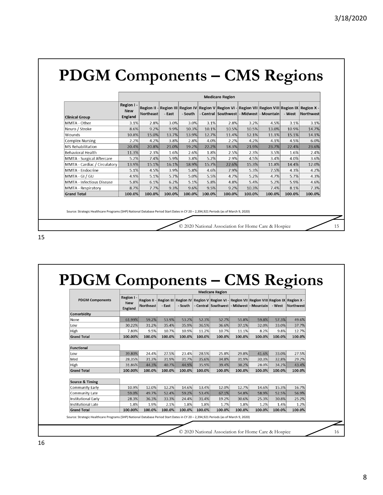## **PDGM Components – CMS Regions**

|                                  | <b>Medicare Region</b>              |           |        |         |        |        |        |                                                                                                                                                     |        |           |  |  |  |
|----------------------------------|-------------------------------------|-----------|--------|---------|--------|--------|--------|-----------------------------------------------------------------------------------------------------------------------------------------------------|--------|-----------|--|--|--|
| <b>Clinical Group</b>            | Region I -<br><b>New</b><br>England | Northeast | - East | - South |        |        |        | Region II - Region III Region IV Region V Region VI - Region VII Region VIII Region IX Region X -<br>- Central   Southwest   - Midwest   - Mountain | - West | Northwest |  |  |  |
| MMTA - Other                     | 3.1%                                | 2.8%      | 3.0%   | 3.0%    | 3.1%   | 2.8%   | 3.2%   | 4.5%                                                                                                                                                | 3.1%   | 3.1%      |  |  |  |
| Neuro / Stroke                   | 8.6%                                | 9.2%      | 9.9%   | 10.3%   | 10.1%  | 10.5%  | 10.5%  | 13.0%                                                                                                                                               | 10.9%  | 14.7%     |  |  |  |
| Wounds                           | 10.8%                               | 15.0%     | 13.7%  | 13.9%   | 12.7%  | 11.4%  | 12.1%  | 11.1%                                                                                                                                               | 15.1%  | 14.1%     |  |  |  |
| <b>Complex Nursing</b>           | 2.2%                                | 4.2%      | 3.8%   | 2.8%    | 4.0%   | 2.2%   | 4.2%   | 4.1%                                                                                                                                                | 4.5%   | 6.0%      |  |  |  |
| <b>MS Rehabilitation</b>         | 20.4%                               | 20.8%     | 21.0%  | 19.2%   | 22.2%  | 18.3%  | 21.9%  | 23.7%                                                                                                                                               | 22.4%  | 23.6%     |  |  |  |
| <b>Behavioral Health</b>         | 11.3%                               | 2.3%      | 1.6%   | 2.6%    | 1.8%   | 2.5%   | 2.3%   | 3.5%                                                                                                                                                | 1.6%   | 2.4%      |  |  |  |
| <b>MMTA - Surgical Aftercare</b> | 5.2%                                | 7.4%      | 5.9%   | 3.8%    | 5.2%   | 2.9%   | 4.5%   | 3.4%                                                                                                                                                | 4.0%   | 3.6%      |  |  |  |
| MMTA - Cardiac / Circulatory     | 13.9%                               | 15.1%     | 16.1%  | 18.9%   | 15.7%  | 22.6%  | 15.3%  | 11.8%                                                                                                                                               | 14.4%  | 12.0%     |  |  |  |
| <b>MMTA - Endocrine</b>          | 5.1%                                | 4.5%      | 3.9%   | 5.8%    | 4.6%   | 7.9%   | 5.3%   | 7.5%                                                                                                                                                | 4.3%   | 4.2%      |  |  |  |
| MMTA - GI / GU                   | 4.9%                                | 5.1%      | 5.7%   | 5.0%    | 5.5%   | 4.7%   | 5.2%   | 4.7%                                                                                                                                                | 5.7%   | 4.3%      |  |  |  |
| <b>MMTA</b> - Infectious Disease | 5.8%                                | 6.1%      | 6.2%   | 5.1%    | 5.8%   | 4.8%   | 5.4%   | 5.2%                                                                                                                                                | 5.9%   | 4.6%      |  |  |  |
| MMTA - Respiratory               | 8.7%                                | 7.7%      | 9.3%   | 9.6%    | 9.5%   | 9.2%   | 10.3%  | 7.4%                                                                                                                                                | 8.1%   | 7.3%      |  |  |  |
| <b>Grand Total</b>               | 100.0%                              | 100.0%    | 100.0% | 100.0%  | 100.0% | 100.0% | 100.0% | 100.0%                                                                                                                                              | 100.0% | 100.0%    |  |  |  |

© 2020 National Association for Home Care & Hospice 15

Source: Strategic Healthcare Programs (SHP) National Database Period Start Dates in CY 20 – 2,394,921 Periods (as of March 9, 2020)

15

## **PDGM Components – CMS Regions**

|                            | <b>Medicare Region</b>              |                  |        |         |        |        |        |                                                                                                                                               |        |           |  |  |
|----------------------------|-------------------------------------|------------------|--------|---------|--------|--------|--------|-----------------------------------------------------------------------------------------------------------------------------------------------|--------|-----------|--|--|
| <b>PDGM Components</b>     | Region I -<br><b>New</b><br>England | <b>Northeast</b> | - East | - South |        |        |        | Region II - Region III Region IV Region V Region VI - Region VII Region VIII Region IX Region X -<br>- Central Southwest - Midwest - Mountain | - West | Northwest |  |  |
| Comorbidity                |                                     |                  |        |         |        |        |        |                                                                                                                                               |        |           |  |  |
| None                       | 61.99%                              | 59.2%            | 53.9%  | 53.2%   | 52.3%  | 52.7%  | 51.8%  | 59.8%                                                                                                                                         | 57.3%  | 49.6%     |  |  |
| Low                        | 30.22%                              | 31.2%            | 35.4%  | 35.9%   | 36.5%  | 36.6%  | 37.1%  | 32.0%                                                                                                                                         | 33.0%  | 37.7%     |  |  |
| High                       | 7.80%                               | 9.5%             | 10.7%  | 10.9%   | 11.2%  | 10.7%  | 11.1%  | 8.2%                                                                                                                                          | 9.8%   | 12.7%     |  |  |
| <b>Grand Total</b>         | 100.00%                             | 100.0%           | 100.0% | 100.0%  | 100.0% | 100.0% | 100.0% | 100.0%                                                                                                                                        | 100.0% | 100.0%    |  |  |
|                            |                                     |                  |        |         |        |        |        |                                                                                                                                               |        |           |  |  |
| <b>Functional</b>          |                                     |                  |        |         |        |        |        |                                                                                                                                               |        |           |  |  |
| Low                        | 39.80%                              | 24.4%            | 27.5%  | 23.4%   | 28.5%  | 25.8%  | 29.8%  | 41.6%                                                                                                                                         | 33.0%  | 27.5%     |  |  |
| Med                        | 28.35%                              | 31.3%            | 31.9%  | 31.7%   | 35.6%  | 34.8%  | 31.9%  | 30.3%                                                                                                                                         | 32.8%  | 29.2%     |  |  |
| High                       | 31.86%                              | 44.3%            | 40.7%  | 44.9%   | 35.9%  | 39.4%  | 38.2%  | 28.0%                                                                                                                                         | 34.2%  | 43.4%     |  |  |
| <b>Grand Total</b>         | 100.00%                             | 100.0%           | 100.0% | 100.0%  | 100.0% | 100.0% | 100.0% | 100.0%                                                                                                                                        | 100.0% | 100.0%    |  |  |
|                            |                                     |                  |        |         |        |        |        |                                                                                                                                               |        |           |  |  |
| <b>Source &amp; Timing</b> |                                     |                  |        |         |        |        |        |                                                                                                                                               |        |           |  |  |
| Community Early            | 10.9%                               | 12.0%            | 12.2%  | 14.6%   | 13.4%  | 12.0%  | 12.7%  | 14.6%                                                                                                                                         | 15.3%  | 16.7%     |  |  |
| Community Late             | 59.0%                               | 49.7%            | 52.4%  | 59.2%   | 53.4%  | 67.1%  | 54.8%  | 58.9%                                                                                                                                         | 52.5%  | 56.9%     |  |  |
| <b>Institutional Early</b> | 28.3%                               | 36.3%            | 33.3%  | 24.4%   | 31.4%  | 19.2%  | 30.6%  | 25.3%                                                                                                                                         | 30.8%  | 25.2%     |  |  |
| <b>Institutional Late</b>  | 1.8%                                | 1.9%             | 2.1%   | 1.8%    | 1.8%   | 1.7%   | 1.8%   | 1.2%                                                                                                                                          | 1.4%   | 1.2%      |  |  |
|                            | 100.00%                             | 100.0%           | 100.0% | 100.0%  | 100.0% | 100.0% | 100.0% | 100.0%                                                                                                                                        | 100.0% | 100.0%    |  |  |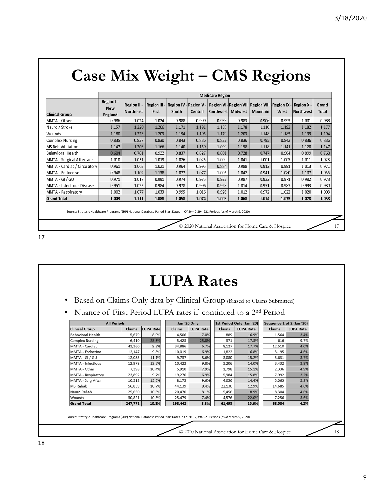|                              | <b>Medicare Region</b>              |                          |                           |       |         |                   |       |                                                                                                                        |       |                   |                |  |
|------------------------------|-------------------------------------|--------------------------|---------------------------|-------|---------|-------------------|-------|------------------------------------------------------------------------------------------------------------------------|-------|-------------------|----------------|--|
| <b>Clinical Group</b>        | Region I -<br><b>New</b><br>England | Region II -<br>Northeast | <b>Region III</b><br>East | South | Central | Southwest Midwest |       | Region IV $\frac{1}{2}$ Region V - Region VI $\frac{1}{2}$ Region VII $\frac{1}{2}$ Region IX - Region X -<br>Mountain | West  | <b>Northwestl</b> | Grand<br>Total |  |
| MMTA - Other                 | 0.986                               | 1.024                    | 1.024                     | 0.988 | 0.999   | 0.933             | 0.983 | 0.906                                                                                                                  | 0.995 | 1.001             | 0.988          |  |
| Neuro / Stroke               | 1.157                               | 1.220                    | 1.206                     | 1.171 | 1.191   | 1.138             | 1.178 | 1.110                                                                                                                  | 1.192 | 1.182             | 1.177          |  |
| Wounds                       | 1.180                               | 1.223                    | 1.203                     | 1.194 | 1.195   | 1.179             | 1.203 | 1.148                                                                                                                  | 1.185 | 1.199             | 1.194          |  |
| <b>Complex Nursing</b>       | 0.835                               | 0.837                    | 0.830                     | 0.843 | 0.836   | 0.832             | 0.836 | 0.795                                                                                                                  | 0.842 | 0.836             | 0.836          |  |
| MS Rehabilitation            | 1.147                               | 1.203                    | 1.166                     | 1.140 | 1.159   | 1.099             | 1.158 | 1.118                                                                                                                  | 1.141 | 1.120             | 1.147          |  |
| Behavioral Health            | 0.604                               | 0.781                    | 0.922                     | 0.837 | 0.827   | 0.801             | 0.728 | 0.747                                                                                                                  | 0.904 | 0.899             | 0.760          |  |
| MMTA - Surgical Aftercare    | 1.010                               | 1.051                    | 1.019                     | 1.026 | 1.025   | 1.009             | 1.041 | 1.001                                                                                                                  | 1.003 | 1.011             | 1.023          |  |
| MMTA - Cardiac / Circulatory | 0.961                               | 1.063                    | 1.021                     | 0.964 | 0.995   | 0.884             | 0.988 | 0.912                                                                                                                  | 0.991 | 1.013             | 0.971          |  |
| MMTA - Endocrine             | 0.948                               | 1.102                    | 1.138                     | 1.077 | 1.077   | 1.005             | 1.042 | 0.941                                                                                                                  | 1.080 | 1.107             | 1.055          |  |
| MMTA - GI / GU               | 0.971                               | 1.017                    | 0.991                     | 0.974 | 0.975   | 0.922             | 0.987 | 0.922                                                                                                                  | 0.971 | 0.982             | 0.973          |  |
| MMTA - Infectious Disease    | 0.951                               | 1.025                    | 0.984                     | 0.978 | 0.996   | 0.928             | 1.014 | 0.951                                                                                                                  | 0.987 | 0.993             | 0.980          |  |
| MMTA - Respiratory           | 1.002                               | 1.077                    | 1.033                     | 0.995 | 1.016   | 0.926             | 1.012 | 0.972                                                                                                                  | 1.022 | 1.020             | 1.003          |  |
| <b>Grand Total</b>           | 1.003                               | 1.111                    | 1.088                     | 1.058 | 1.074   | 1.003             | 1.068 | 1.014                                                                                                                  | 1.073 | 1.078             | 1.058          |  |

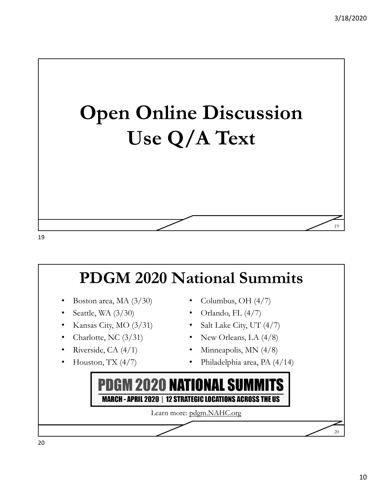

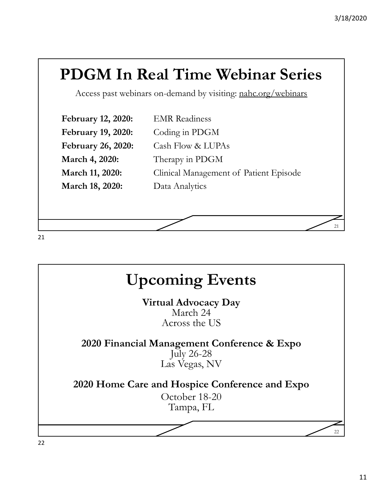